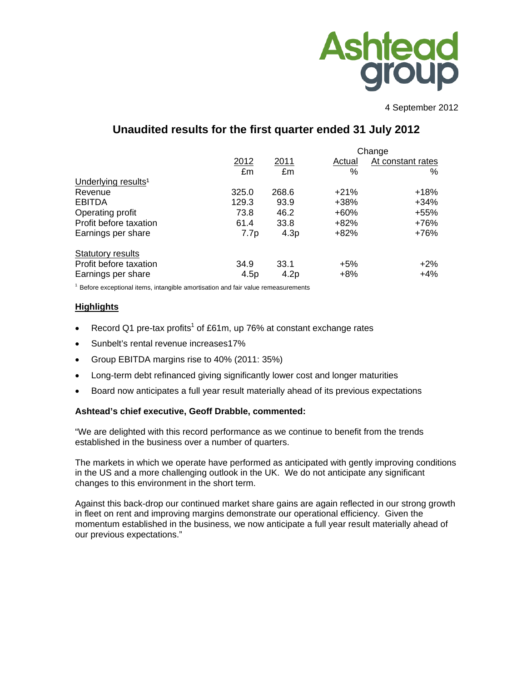

4 September 2012

# **Unaudited results for the first quarter ended 31 July 2012**

|                                 |       | Change |        |                   |  |  |
|---------------------------------|-------|--------|--------|-------------------|--|--|
|                                 | 2012  | 2011   | Actual | At constant rates |  |  |
|                                 | £m    | £m     | $\%$   | %                 |  |  |
| Underlying results <sup>1</sup> |       |        |        |                   |  |  |
| Revenue                         | 325.0 | 268.6  | $+21%$ | $+18%$            |  |  |
| <b>EBITDA</b>                   | 129.3 | 93.9   | +38%   | $+34\%$           |  |  |
| Operating profit                | 73.8  | 46.2   | $+60%$ | $+55%$            |  |  |
| Profit before taxation          | 61.4  | 33.8   | +82%   | +76%              |  |  |
| Earnings per share              | 7.7p  | 4.3p   | $+82%$ | +76%              |  |  |
| <b>Statutory results</b>        |       |        |        |                   |  |  |
| Profit before taxation          | 34.9  | 33.1   | $+5%$  | $+2\%$            |  |  |
| Earnings per share              | 4.5p  | 4.2p   | $+8%$  | +4%               |  |  |

 $1$  Before exceptional items, intangible amortisation and fair value remeasurements

#### **Highlights**

- Record Q1 pre-tax profits<sup>1</sup> of £61m, up 76% at constant exchange rates
- Sunbelt's rental revenue increases17%
- Group EBITDA margins rise to 40% (2011: 35%)
- Long-term debt refinanced giving significantly lower cost and longer maturities
- Board now anticipates a full year result materially ahead of its previous expectations

# **Ashtead's chief executive, Geoff Drabble, commented:**

"We are delighted with this record performance as we continue to benefit from the trends established in the business over a number of quarters.

The markets in which we operate have performed as anticipated with gently improving conditions in the US and a more challenging outlook in the UK. We do not anticipate any significant changes to this environment in the short term.

Against this back-drop our continued market share gains are again reflected in our strong growth in fleet on rent and improving margins demonstrate our operational efficiency. Given the momentum established in the business, we now anticipate a full year result materially ahead of our previous expectations."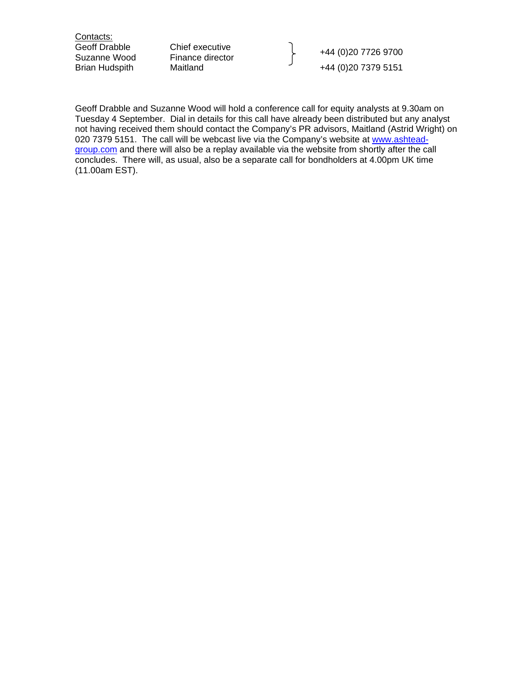Contacts:

Geoff Drabble Chief executive +44 (0)20 7726 9700 Suzanne Wood Finance director Brian Hudspith Maitland  $+44 (0)20 7379 5151$ 

Geoff Drabble and Suzanne Wood will hold a conference call for equity analysts at 9.30am on Tuesday 4 September. Dial in details for this call have already been distributed but any analyst not having received them should contact the Company's PR advisors, Maitland (Astrid Wright) on 020 7379 5151. The call will be webcast live via the Company's website at www.ashteadgroup.com and there will also be a replay available via the website from shortly after the call concludes. There will, as usual, also be a separate call for bondholders at 4.00pm UK time (11.00am EST).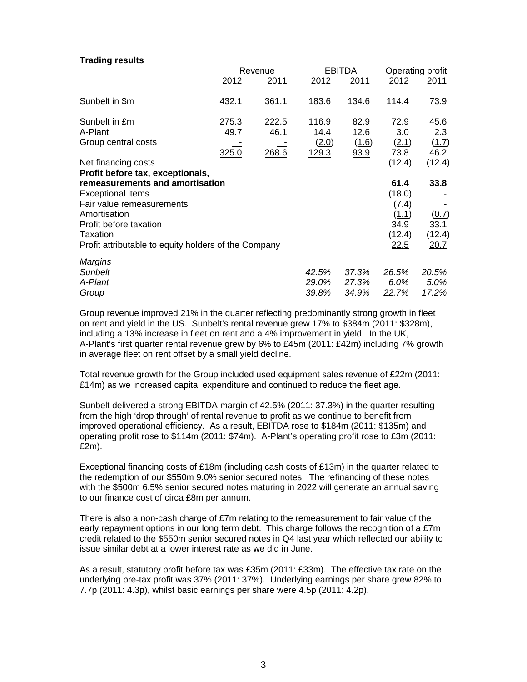#### **Trading results**

|                                                                                                                                                                                                        |                        | Revenue                |                                 | <b>EBITDA</b>                 | Operating profit                                                  |                                         |  |
|--------------------------------------------------------------------------------------------------------------------------------------------------------------------------------------------------------|------------------------|------------------------|---------------------------------|-------------------------------|-------------------------------------------------------------------|-----------------------------------------|--|
|                                                                                                                                                                                                        | 2012                   | 2011                   | 2012                            | 2011                          | 2012                                                              | 2011                                    |  |
| Sunbelt in \$m                                                                                                                                                                                         | 432.1                  | 361.1                  | 183.6                           | <u>134.6</u>                  | <u>114.4</u>                                                      | <u>73.9</u>                             |  |
| Sunbelt in £m<br>A-Plant<br>Group central costs                                                                                                                                                        | 275.3<br>49.7<br>325.0 | 222.5<br>46.1<br>268.6 | 116.9<br>14.4<br>(2.0)<br>129.3 | 82.9<br>12.6<br>(1.6)<br>93.9 | 72.9<br>3.0<br>(2.1)<br>73.8                                      | 45.6<br>2.3<br>(1.7)<br>46.2            |  |
| Net financing costs<br>Profit before tax, exceptionals,                                                                                                                                                |                        |                        |                                 |                               | (12.4)                                                            | (12.4)                                  |  |
| remeasurements and amortisation<br><b>Exceptional items</b><br>Fair value remeasurements<br>Amortisation<br>Profit before taxation<br>Taxation<br>Profit attributable to equity holders of the Company |                        |                        |                                 |                               | 61.4<br>(18.0)<br>(7.4)<br><u>(1.1)</u><br>34.9<br>(12.4)<br>22.5 | 33.8<br>(0.7)<br>33.1<br>(12.4)<br>20.7 |  |
| <u>Margins</u><br>Sunbelt<br>A-Plant<br>Group                                                                                                                                                          |                        |                        | 42.5%<br>29.0%<br>39.8%         | 37.3%<br>27.3%<br>34.9%       | 26.5%<br>6.0%<br>22.7%                                            | 20.5%<br>5.0%<br>17.2%                  |  |

Group revenue improved 21% in the quarter reflecting predominantly strong growth in fleet on rent and yield in the US. Sunbelt's rental revenue grew 17% to \$384m (2011: \$328m), including a 13% increase in fleet on rent and a 4% improvement in yield. In the UK, A-Plant's first quarter rental revenue grew by 6% to £45m (2011: £42m) including 7% growth in average fleet on rent offset by a small yield decline.

Total revenue growth for the Group included used equipment sales revenue of £22m (2011: £14m) as we increased capital expenditure and continued to reduce the fleet age.

Sunbelt delivered a strong EBITDA margin of 42.5% (2011: 37.3%) in the quarter resulting from the high 'drop through' of rental revenue to profit as we continue to benefit from improved operational efficiency. As a result, EBITDA rose to \$184m (2011: \$135m) and operating profit rose to \$114m (2011: \$74m). A-Plant's operating profit rose to £3m (2011: £2m).

Exceptional financing costs of £18m (including cash costs of £13m) in the quarter related to the redemption of our \$550m 9.0% senior secured notes. The refinancing of these notes with the \$500m 6.5% senior secured notes maturing in 2022 will generate an annual saving to our finance cost of circa £8m per annum.

There is also a non-cash charge of £7m relating to the remeasurement to fair value of the early repayment options in our long term debt. This charge follows the recognition of a £7m credit related to the \$550m senior secured notes in Q4 last year which reflected our ability to issue similar debt at a lower interest rate as we did in June.

As a result, statutory profit before tax was £35m (2011: £33m). The effective tax rate on the underlying pre-tax profit was 37% (2011: 37%). Underlying earnings per share grew 82% to 7.7p (2011: 4.3p), whilst basic earnings per share were 4.5p (2011: 4.2p).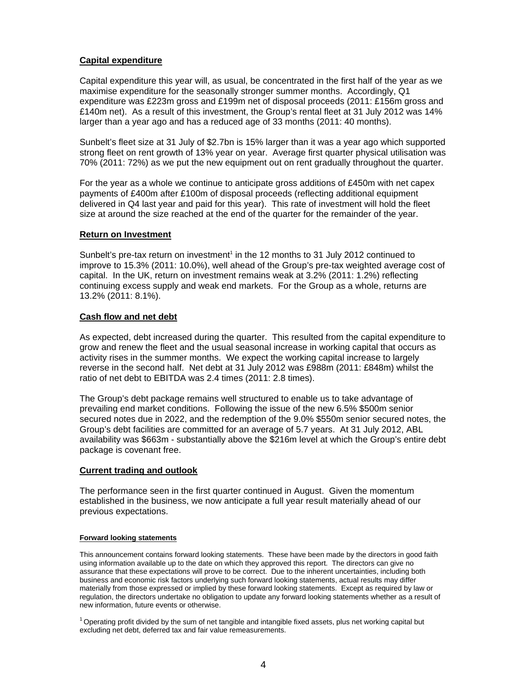# **Capital expenditure**

Capital expenditure this year will, as usual, be concentrated in the first half of the year as we maximise expenditure for the seasonally stronger summer months. Accordingly, Q1 expenditure was £223m gross and £199m net of disposal proceeds (2011: £156m gross and £140m net). As a result of this investment, the Group's rental fleet at 31 July 2012 was 14% larger than a year ago and has a reduced age of 33 months (2011: 40 months).

Sunbelt's fleet size at 31 July of \$2.7bn is 15% larger than it was a year ago which supported strong fleet on rent growth of 13% year on year. Average first quarter physical utilisation was 70% (2011: 72%) as we put the new equipment out on rent gradually throughout the quarter.

For the year as a whole we continue to anticipate gross additions of £450m with net capex payments of £400m after £100m of disposal proceeds (reflecting additional equipment delivered in Q4 last year and paid for this year). This rate of investment will hold the fleet size at around the size reached at the end of the quarter for the remainder of the year.

#### **Return on Investment**

Sunbelt's pre-tax return on investment<sup>1</sup> in the 12 months to 31 July 2012 continued to improve to 15.3% (2011: 10.0%), well ahead of the Group's pre-tax weighted average cost of capital. In the UK, return on investment remains weak at 3.2% (2011: 1.2%) reflecting continuing excess supply and weak end markets. For the Group as a whole, returns are 13.2% (2011: 8.1%).

#### **Cash flow and net debt**

As expected, debt increased during the quarter. This resulted from the capital expenditure to grow and renew the fleet and the usual seasonal increase in working capital that occurs as activity rises in the summer months. We expect the working capital increase to largely reverse in the second half. Net debt at 31 July 2012 was £988m (2011: £848m) whilst the ratio of net debt to EBITDA was 2.4 times (2011: 2.8 times).

The Group's debt package remains well structured to enable us to take advantage of prevailing end market conditions. Following the issue of the new 6.5% \$500m senior secured notes due in 2022, and the redemption of the 9.0% \$550m senior secured notes, the Group's debt facilities are committed for an average of 5.7 years. At 31 July 2012, ABL availability was \$663m - substantially above the \$216m level at which the Group's entire debt package is covenant free.

#### **Current trading and outlook**

The performance seen in the first quarter continued in August. Given the momentum established in the business, we now anticipate a full year result materially ahead of our previous expectations.

#### **Forward looking statements**

This announcement contains forward looking statements. These have been made by the directors in good faith using information available up to the date on which they approved this report. The directors can give no assurance that these expectations will prove to be correct. Due to the inherent uncertainties, including both business and economic risk factors underlying such forward looking statements, actual results may differ materially from those expressed or implied by these forward looking statements. Except as required by law or regulation, the directors undertake no obligation to update any forward looking statements whether as a result of new information, future events or otherwise.

 $1$  Operating profit divided by the sum of net tangible and intangible fixed assets, plus net working capital but excluding net debt, deferred tax and fair value remeasurements.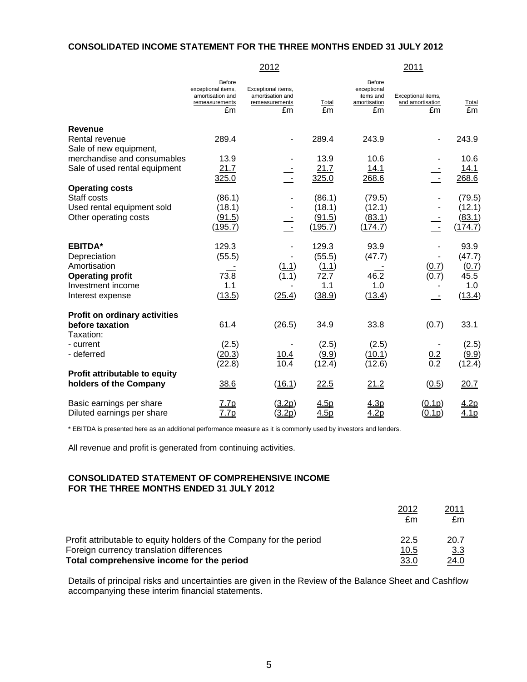#### **CONSOLIDATED INCOME STATEMENT FOR THE THREE MONTHS ENDED 31 JULY 2012**

2012 2011

|                                          | Before<br>exceptional items,<br>amortisation and<br>remeasurements<br>£m | Exceptional items,<br>amortisation and<br>remeasurements<br>£m | Total<br>£m       | Before<br>exceptional<br>items and<br>amortisation<br>£m | Exceptional items,<br>and amortisation<br>£m | Total<br>£m       |
|------------------------------------------|--------------------------------------------------------------------------|----------------------------------------------------------------|-------------------|----------------------------------------------------------|----------------------------------------------|-------------------|
| <b>Revenue</b>                           |                                                                          |                                                                |                   |                                                          |                                              |                   |
| Rental revenue<br>Sale of new equipment, | 289.4                                                                    |                                                                | 289.4             | 243.9                                                    |                                              | 243.9             |
| merchandise and consumables              | 13.9                                                                     |                                                                | 13.9              | 10.6                                                     |                                              | 10.6              |
| Sale of used rental equipment            | 21.7                                                                     |                                                                | 21.7              | 14.1                                                     |                                              | 14.1              |
|                                          | 325.0                                                                    |                                                                | 325.0             | 268.6                                                    |                                              | 268.6             |
| <b>Operating costs</b>                   |                                                                          |                                                                |                   |                                                          |                                              |                   |
| Staff costs                              | (86.1)                                                                   |                                                                | (86.1)            | (79.5)                                                   |                                              | (79.5)            |
| Used rental equipment sold               | (18.1)                                                                   |                                                                | (18.1)            | (12.1)                                                   |                                              | (12.1)            |
| Other operating costs                    | (91.5)<br>(195.7)                                                        |                                                                | (91.5)<br>(195.7) | (83.1)<br>(174.7)                                        |                                              | (83.1)<br>(174.7) |
|                                          |                                                                          |                                                                |                   |                                                          |                                              |                   |
| <b>EBITDA*</b>                           | 129.3                                                                    |                                                                | 129.3             | 93.9                                                     |                                              | 93.9              |
| Depreciation                             | (55.5)                                                                   |                                                                | (55.5)            | (47.7)                                                   |                                              | (47.7)            |
| Amortisation                             |                                                                          | (1.1)                                                          | (1.1)             |                                                          | (0.7)                                        | (0.7)             |
| <b>Operating profit</b>                  | 73.8                                                                     | (1.1)                                                          | 72.7              | 46.2                                                     | (0.7)                                        | 45.5              |
| Investment income                        | 1.1                                                                      |                                                                | 1.1               | 1.0                                                      |                                              | 1.0               |
| Interest expense                         | (13.5)                                                                   | (25.4)                                                         | (38.9)            | (13.4)                                                   |                                              | (13.4)            |
| <b>Profit on ordinary activities</b>     |                                                                          |                                                                |                   |                                                          |                                              |                   |
| before taxation                          | 61.4                                                                     | (26.5)                                                         | 34.9              | 33.8                                                     | (0.7)                                        | 33.1              |
| Taxation:                                |                                                                          |                                                                |                   |                                                          |                                              |                   |
| - current                                | (2.5)                                                                    |                                                                | (2.5)             | (2.5)                                                    |                                              | (2.5)             |
| - deferred                               | (20.3)                                                                   | 10.4                                                           | (9.9)             | (10.1)                                                   | $\frac{0.2}{0.2}$                            | (9.9)             |
|                                          | <u>(22.8)</u>                                                            | 10.4                                                           | (12.4)            | (12.6)                                                   |                                              | (12.4)            |
| Profit attributable to equity            |                                                                          |                                                                |                   |                                                          |                                              |                   |
| holders of the Company                   | 38.6                                                                     | (16.1)                                                         | 22.5              | 21.2                                                     | (0.5)                                        | 20.7              |
| Basic earnings per share                 | 7.7p                                                                     | <u>(3.2p)</u>                                                  | <u>4.5p</u>       | <u>4.3p</u>                                              | (0.1p)                                       | <u>4.2p</u>       |
| Diluted earnings per share               | <u>7.7p</u>                                                              | (3.2p)                                                         | 4.5p              | 4.2 <sub>p</sub>                                         | (0.1p)                                       | 4.1 <sub>p</sub>  |

\* EBITDA is presented here as an additional performance measure as it is commonly used by investors and lenders.

All revenue and profit is generated from continuing activities.

# **CONSOLIDATED STATEMENT OF COMPREHENSIVE INCOME FOR THE THREE MONTHS ENDED 31 JULY 2012**

|                                                                     | 2012<br>£m | <u> 2011</u><br>£m |
|---------------------------------------------------------------------|------------|--------------------|
| Profit attributable to equity holders of the Company for the period | 22.5       | 20.7               |
| Foreign currency translation differences                            | 10.5       | 3.3 <sub>2</sub>   |
| Total comprehensive income for the period                           | 33.0       | <u>24.0</u>        |

Details of principal risks and uncertainties are given in the Review of the Balance Sheet and Cashflow accompanying these interim financial statements.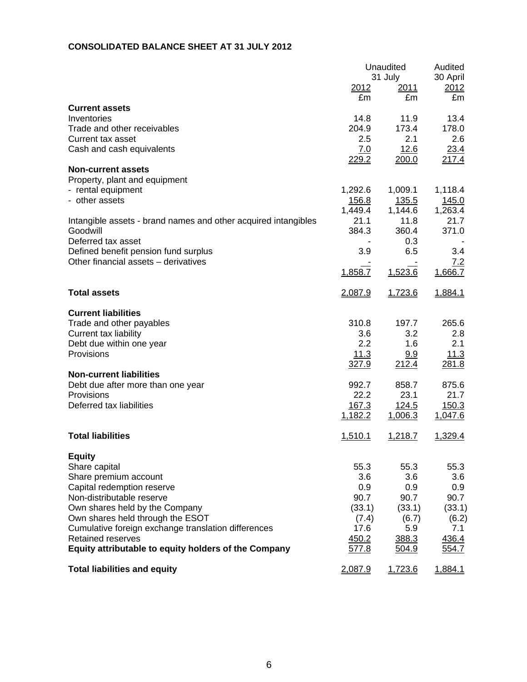# **CONSOLIDATED BALANCE SHEET AT 31 JULY 2012**

|                                                                                                                                                                                                                                                                                                                                     | 2012<br>£m                                                                | Unaudited<br>31 July<br><u>2011</u><br>£m                                       | Audited<br>30 April<br>2012<br>£m                                         |
|-------------------------------------------------------------------------------------------------------------------------------------------------------------------------------------------------------------------------------------------------------------------------------------------------------------------------------------|---------------------------------------------------------------------------|---------------------------------------------------------------------------------|---------------------------------------------------------------------------|
| <b>Current assets</b><br>Inventories<br>Trade and other receivables<br>Current tax asset<br>Cash and cash equivalents                                                                                                                                                                                                               | 14.8<br>204.9<br>2.5<br>7.0                                               | 11.9<br>173.4<br>2.1<br>12.6                                                    | 13.4<br>178.0<br>2.6<br>23.4                                              |
| <b>Non-current assets</b><br>Property, plant and equipment<br>- rental equipment<br>- other assets                                                                                                                                                                                                                                  | 229.2<br>1,292.6<br>156.8                                                 | 200.0<br>1,009.1<br>135.5                                                       | 217.4<br>1,118.4<br>145.0                                                 |
| Intangible assets - brand names and other acquired intangibles<br>Goodwill<br>Deferred tax asset<br>Defined benefit pension fund surplus<br>Other financial assets - derivatives                                                                                                                                                    | 1,449.4<br>21.1<br>384.3<br>3.9<br>1,858.7                                | 1,144.6<br>11.8<br>360.4<br>0.3<br>6.5<br>1,523.6                               | 1,263.4<br>21.7<br>371.0<br>3.4<br>7.2<br>1,666.7                         |
| <b>Total assets</b>                                                                                                                                                                                                                                                                                                                 | 2,087.9                                                                   | 1,723.6                                                                         | 1,884.1                                                                   |
| <b>Current liabilities</b><br>Trade and other payables<br>Current tax liability<br>Debt due within one year<br>Provisions<br><b>Non-current liabilities</b><br>Debt due after more than one year<br>Provisions<br>Deferred tax liabilities                                                                                          | 310.8<br>3.6<br>2.2<br>11.3<br>327.9<br>992.7<br>22.2<br>167.3<br>1,182.2 | 197.7<br>3.2<br>1.6<br>9.9<br>212.4<br>858.7<br>23.1<br><u>124.5</u><br>1,006.3 | 265.6<br>2.8<br>2.1<br>11.3<br>281.8<br>875.6<br>21.7<br>150.3<br>1,047.6 |
| <b>Total liabilities</b>                                                                                                                                                                                                                                                                                                            | 1,510.1                                                                   | 1,218.7                                                                         | 1,329.4                                                                   |
| <b>Equity</b><br>Share capital<br>Share premium account<br>Capital redemption reserve<br>Non-distributable reserve<br>Own shares held by the Company<br>Own shares held through the ESOT<br>Cumulative foreign exchange translation differences<br><b>Retained reserves</b><br>Equity attributable to equity holders of the Company | 55.3<br>3.6<br>0.9<br>90.7<br>(33.1)<br>(7.4)<br>17.6<br>450.2<br>577.8   | 55.3<br>3.6<br>0.9<br>90.7<br>(33.1)<br>(6.7)<br>5.9<br>388.3<br>504.9          | 55.3<br>3.6<br>0.9<br>90.7<br>(33.1)<br>(6.2)<br>7.1<br>436.4<br>554.7    |
| <b>Total liabilities and equity</b>                                                                                                                                                                                                                                                                                                 | 2,087.9                                                                   | 1,723.6                                                                         | 1,884.1                                                                   |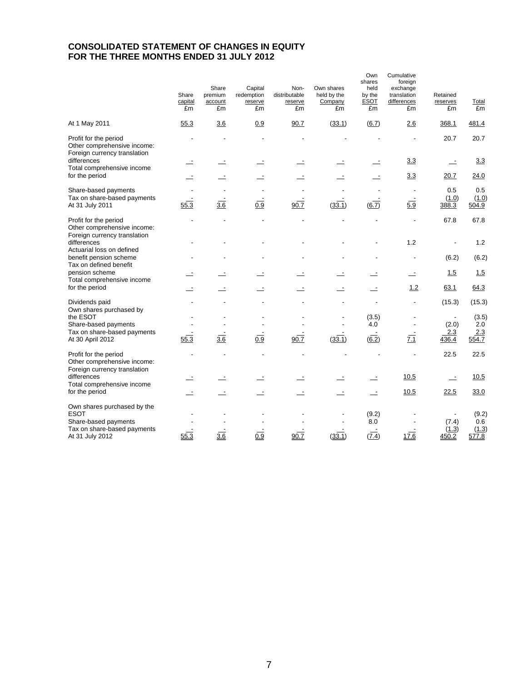# **CONSOLIDATED STATEMENT OF CHANGES IN EQUITY FOR THE THREE MONTHS ENDED 31 JULY 2012**

|                                                                                      | Share<br>capital<br>£m | Share<br>premium<br>account<br>£m | Capital<br>redemption<br>reserve<br>£m | Non-<br>distributable<br>reserve<br>£m | Own shares<br>held by the<br>Company<br>£m | Own<br>shares<br>held<br>by the<br><b>ESOT</b><br>£m | Cumulative<br>foreign<br>exchange<br>translation<br>differences<br>£m | Retained<br>reserves<br>£m | Total<br>£m    |
|--------------------------------------------------------------------------------------|------------------------|-----------------------------------|----------------------------------------|----------------------------------------|--------------------------------------------|------------------------------------------------------|-----------------------------------------------------------------------|----------------------------|----------------|
| At 1 May 2011                                                                        | 55.3                   | 3.6                               | 0.9                                    | 90.7                                   | (33.1)                                     | (6.7)                                                | 2.6                                                                   | 368.1                      | 481.4          |
| Profit for the period<br>Other comprehensive income:<br>Foreign currency translation |                        |                                   |                                        |                                        |                                            |                                                      |                                                                       | 20.7                       | 20.7           |
| differences<br>Total comprehensive income                                            |                        |                                   |                                        |                                        |                                            |                                                      | 3.3                                                                   |                            | 3.3            |
| for the period                                                                       |                        |                                   |                                        |                                        |                                            |                                                      | 3.3                                                                   | 20.7                       | 24.0           |
| Share-based payments                                                                 |                        |                                   |                                        |                                        |                                            |                                                      |                                                                       | 0.5                        | 0.5            |
| Tax on share-based payments<br>At 31 July 2011                                       | 55.3                   | $rac{1}{3.6}$                     | 0.9                                    | 90.7                                   | (33.1)                                     | (6.7)                                                | 5.9                                                                   | (1.0)<br>388.3             | (1.0)<br>504.9 |
| Profit for the period<br>Other comprehensive income:<br>Foreign currency translation |                        |                                   |                                        |                                        |                                            |                                                      |                                                                       | 67.8                       | 67.8           |
| differences<br>Actuarial loss on defined                                             |                        |                                   |                                        |                                        |                                            |                                                      | 1.2                                                                   |                            | 1.2            |
| benefit pension scheme<br>Tax on defined benefit                                     |                        |                                   |                                        |                                        |                                            |                                                      |                                                                       | (6.2)                      | (6.2)          |
| pension scheme<br>Total comprehensive income                                         |                        |                                   |                                        |                                        |                                            |                                                      | $\overline{\phantom{a}}$                                              | 1.5                        | 1.5            |
| for the period                                                                       |                        |                                   |                                        |                                        |                                            |                                                      | 1.2                                                                   | 63.1                       | 64.3           |
| Dividends paid<br>Own shares purchased by                                            |                        |                                   |                                        |                                        |                                            |                                                      |                                                                       | (15.3)                     | (15.3)         |
| the ESOT<br>Share-based payments                                                     |                        |                                   |                                        |                                        |                                            | (3.5)<br>4.0                                         |                                                                       | (2.0)                      | (3.5)<br>2.0   |
| Tax on share-based payments                                                          |                        |                                   |                                        |                                        |                                            |                                                      |                                                                       | 2.3                        | 2.3            |
| At 30 April 2012                                                                     | 55.3                   | 3.6                               | 0.9                                    | 90.7                                   | (33.1)                                     | (6.2)                                                | $\overline{7.1}$                                                      | 436.4                      | 554.7          |
| Profit for the period<br>Other comprehensive income:<br>Foreign currency translation |                        |                                   |                                        |                                        |                                            |                                                      |                                                                       | 22.5                       | 22.5           |
| differences                                                                          |                        |                                   |                                        |                                        |                                            |                                                      | 10.5                                                                  | $\overline{\phantom{a}}$   | 10.5           |
| Total comprehensive income<br>for the period                                         |                        |                                   |                                        |                                        |                                            | $\overline{\phantom{a}}$                             | 10.5                                                                  | 22.5                       | 33.0           |
| Own shares purchased by the<br><b>ESOT</b><br>Share-based payments                   |                        |                                   |                                        |                                        |                                            | (9.2)<br>8.0                                         |                                                                       | (7.4)                      | (9.2)<br>0.6   |
| Tax on share-based payments<br>At 31 July 2012                                       | 55.3                   | 3.6                               | 0.9                                    | 90.7                                   | (33.1)                                     | (7.4)                                                | 17.6                                                                  | (1.3)<br>450.2             | (1.3)<br>577.8 |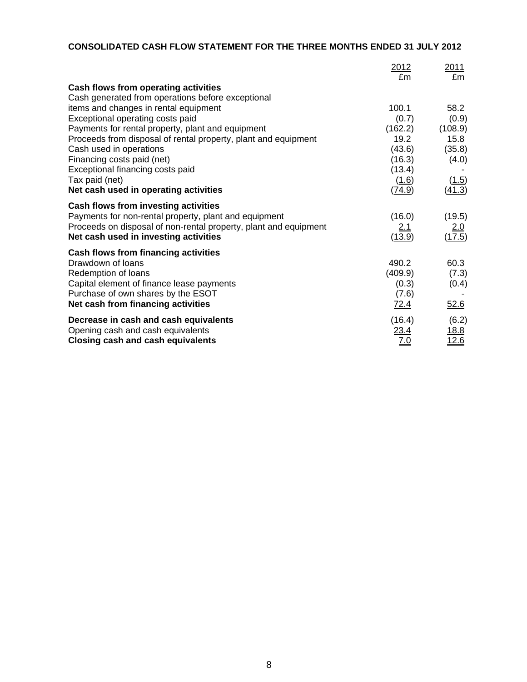# **CONSOLIDATED CASH FLOW STATEMENT FOR THE THREE MONTHS ENDED 31 JULY 2012**

|                                                                  | 2012<br>£m  | 2011<br>£m  |
|------------------------------------------------------------------|-------------|-------------|
| Cash flows from operating activities                             |             |             |
| Cash generated from operations before exceptional                |             |             |
| items and changes in rental equipment                            | 100.1       | 58.2        |
| Exceptional operating costs paid                                 | (0.7)       | (0.9)       |
| Payments for rental property, plant and equipment                | (162.2)     | (108.9)     |
| Proceeds from disposal of rental property, plant and equipment   | 19.2        | 15.8        |
| Cash used in operations                                          | (43.6)      | (35.8)      |
| Financing costs paid (net)                                       | (16.3)      | (4.0)       |
| Exceptional financing costs paid                                 | (13.4)      |             |
| Tax paid (net)                                                   | (1.6)       | (1.5)       |
| Net cash used in operating activities                            | (74.9)      | (41.3)      |
| Cash flows from investing activities                             |             |             |
| Payments for non-rental property, plant and equipment            | (16.0)      | (19.5)      |
| Proceeds on disposal of non-rental property, plant and equipment | <u>2.1</u>  | <u>2.0</u>  |
| Net cash used in investing activities                            | (13.9)      | (17.5)      |
| Cash flows from financing activities                             |             |             |
| Drawdown of loans                                                | 490.2       | 60.3        |
| Redemption of loans                                              | (409.9)     | (7.3)       |
| Capital element of finance lease payments                        | (0.3)       | (0.4)       |
| Purchase of own shares by the ESOT                               | (7.6)       |             |
| Net cash from financing activities                               | <u>72.4</u> | 52.6        |
| Decrease in cash and cash equivalents                            | (16.4)      | (6.2)       |
| Opening cash and cash equivalents                                | 23.4        | <u>18.8</u> |
| <b>Closing cash and cash equivalents</b>                         | 7.0         | 12.6        |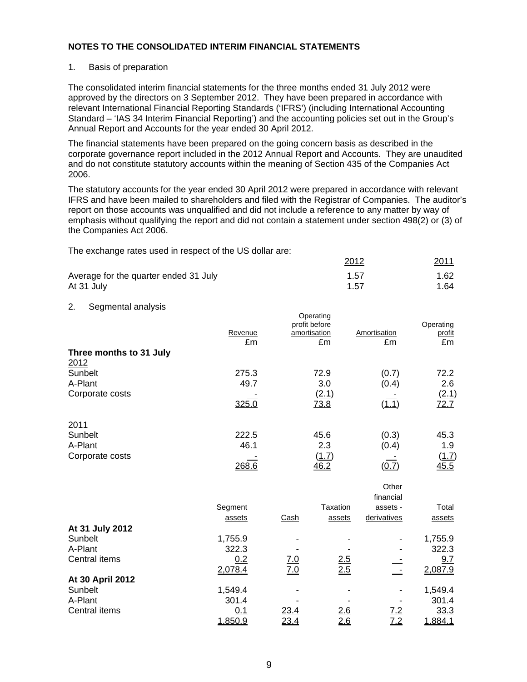#### 1. Basis of preparation

The consolidated interim financial statements for the three months ended 31 July 2012 were approved by the directors on 3 September 2012. They have been prepared in accordance with relevant International Financial Reporting Standards ('IFRS') (including International Accounting Standard – 'IAS 34 Interim Financial Reporting') and the accounting policies set out in the Group's Annual Report and Accounts for the year ended 30 April 2012.

The financial statements have been prepared on the going concern basis as described in the corporate governance report included in the 2012 Annual Report and Accounts. They are unaudited and do not constitute statutory accounts within the meaning of Section 435 of the Companies Act 2006.

The statutory accounts for the year ended 30 April 2012 were prepared in accordance with relevant IFRS and have been mailed to shareholders and filed with the Registrar of Companies. The auditor's report on those accounts was unqualified and did not include a reference to any matter by way of emphasis without qualifying the report and did not contain a statement under section 498(2) or (3) of the Companies Act 2006.

The exchange rates used in respect of the US dollar are:

|                                       | 2012 | 2011 |
|---------------------------------------|------|------|
| Average for the quarter ended 31 July | 1.57 | 1.62 |
| At 31 July                            | 1.57 | 1.64 |

#### 2. Segmental analysis

|                         | Revenue<br>£m | Operating<br>profit before<br>amortisation<br>£m | Amortisation<br>£m | Operating<br>profit<br>£m |
|-------------------------|---------------|--------------------------------------------------|--------------------|---------------------------|
| Three months to 31 July |               |                                                  |                    |                           |
| 2012                    |               |                                                  |                    |                           |
| Sunbelt                 | 275.3         | 72.9                                             | (0.7)              | 72.2                      |
| A-Plant                 | 49.7          | 3.0                                              | (0.4)              | 2.6                       |
| Corporate costs         |               | (2.1)                                            |                    | (2.1)                     |
|                         | 325.0         | 73.8                                             | ( <u>1.1</u>       | 72.7                      |
| 2011                    |               |                                                  |                    |                           |
| Sunbelt                 | 222.5         | 45.6                                             | (0.3)              | 45.3                      |
| A-Plant                 | 46.1          | 2.3                                              | (0.4)              | 1.9                       |
| Corporate costs         |               | (1.7)                                            |                    | <u>(1.7)</u>              |
|                         | 268.6         | 46.2                                             | <u>(0.7)</u>       | 45.5                      |

|                  |         |            |          | Other       |         |
|------------------|---------|------------|----------|-------------|---------|
|                  |         |            |          | financial   |         |
|                  | Segment |            | Taxation | assets -    | Total   |
|                  | assets  | Cash       | assets   | derivatives | assets  |
| At 31 July 2012  |         |            |          |             |         |
| Sunbelt          | 1,755.9 |            |          |             | 1,755.9 |
| A-Plant          | 322.3   |            |          |             | 322.3   |
| Central items    | 0.2     | <u>7.0</u> | 2.5      |             | 9.7     |
|                  | 2,078.4 | <u>7.0</u> | 2.5      |             | 2,087.9 |
| At 30 April 2012 |         |            |          |             |         |
| Sunbelt          | 1,549.4 |            |          |             | 1,549.4 |
| A-Plant          | 301.4   |            |          |             | 301.4   |
| Central items    | 0.1     | 23.4       | 2.6      | <u>7.2</u>  | 33.3    |
|                  | 1,850.9 | 23.4       | 2.6      | <u>7.2</u>  | 1,884.1 |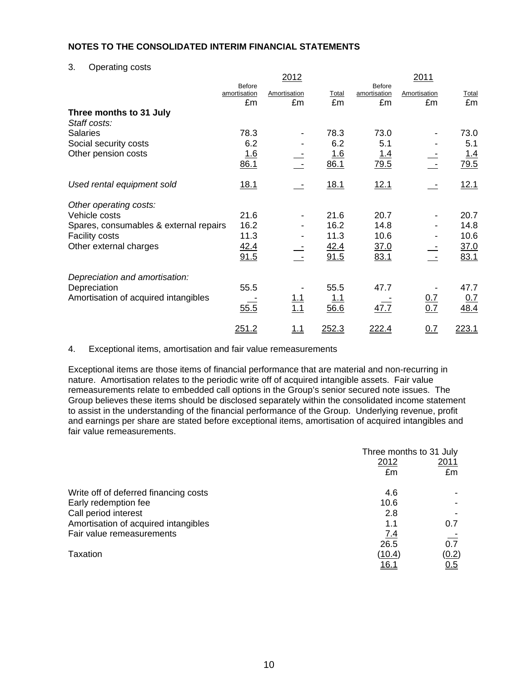3. Operating costs

|                                        |                                     | 2012               |             |                                     | 2011               |             |
|----------------------------------------|-------------------------------------|--------------------|-------------|-------------------------------------|--------------------|-------------|
|                                        | <b>Before</b><br>amortisation<br>£m | Amortisation<br>£m | Total<br>£m | <b>Before</b><br>amortisation<br>£m | Amortisation<br>£m | Total<br>£m |
| Three months to 31 July                |                                     |                    |             |                                     |                    |             |
| Staff costs:                           |                                     |                    |             |                                     |                    |             |
| <b>Salaries</b>                        | 78.3                                |                    | 78.3        | 73.0                                |                    | 73.0        |
| Social security costs                  | 6.2                                 |                    | 6.2         | 5.1                                 |                    | 5.1         |
| Other pension costs                    | 1.6                                 |                    | <u> 1.6</u> | <u> 1.4</u>                         |                    | <u>1.4</u>  |
|                                        | 86.1                                |                    | 86.1        | 79.5                                |                    | 79.5        |
| Used rental equipment sold             | <u>18.1</u>                         |                    | 18.1        | <u>12.1</u>                         |                    | 12.1        |
| Other operating costs:                 |                                     |                    |             |                                     |                    |             |
| Vehicle costs                          | 21.6                                |                    | 21.6        | 20.7                                |                    | 20.7        |
| Spares, consumables & external repairs | 16.2                                |                    | 16.2        | 14.8                                |                    | 14.8        |
| <b>Facility costs</b>                  | 11.3                                |                    | 11.3        | 10.6                                |                    | 10.6        |
| Other external charges                 | 42.4                                |                    | 42.4        | <u>37.0</u>                         |                    | <u>37.0</u> |
|                                        | 91.5                                |                    | 91.5        | 83.1                                |                    | 83.1        |
| Depreciation and amortisation:         |                                     |                    |             |                                     |                    |             |
| Depreciation                           | 55.5                                |                    | 55.5        | 47.7                                |                    | 47.7        |
| Amortisation of acquired intangibles   |                                     | $\frac{1.1}{1.1}$  | 1.1         |                                     | 0.7                | 0.7         |
|                                        | 55.5                                |                    | 56.6        | 47.7                                | 0.7                | 48.4        |
|                                        | 251.2                               | 1.1                | 252.3       | 222.4                               | 0.7                | 223.1       |

4. Exceptional items, amortisation and fair value remeasurements

Exceptional items are those items of financial performance that are material and non-recurring in nature. Amortisation relates to the periodic write off of acquired intangible assets. Fair value remeasurements relate to embedded call options in the Group's senior secured note issues. The Group believes these items should be disclosed separately within the consolidated income statement to assist in the understanding of the financial performance of the Group. Underlying revenue, profit and earnings per share are stated before exceptional items, amortisation of acquired intangibles and fair value remeasurements.

|                                       | Three months to 31 July |              |  |
|---------------------------------------|-------------------------|--------------|--|
|                                       | 2012                    | 2011         |  |
|                                       | £m                      | £m           |  |
| Write off of deferred financing costs | 4.6                     |              |  |
| Early redemption fee                  | 10.6                    |              |  |
| Call period interest                  | 2.8                     |              |  |
| Amortisation of acquired intangibles  | 1.1                     | 0.7          |  |
| Fair value remeasurements             | 7.4                     |              |  |
|                                       | 26.5                    | 0.7          |  |
| Taxation                              | (10.4)                  | <u>(0.2)</u> |  |
|                                       | 16.1                    | 0.5          |  |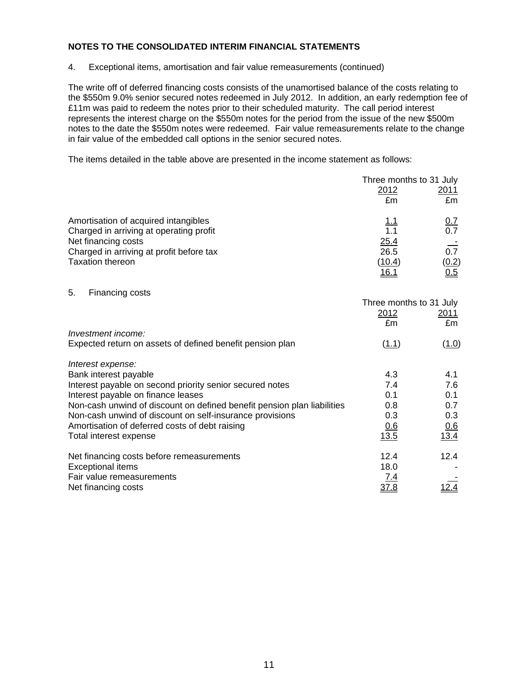4. Exceptional items, amortisation and fair value remeasurements (continued)

The write off of deferred financing costs consists of the unamortised balance of the costs relating to the \$550m 9.0% senior secured notes redeemed in July 2012. In addition, an early redemption fee of £11m was paid to redeem the notes prior to their scheduled maturity. The call period interest represents the interest charge on the \$550m notes for the period from the issue of the new \$500m notes to the date the \$550m notes were redeemed. Fair value remeasurements relate to the change in fair value of the embedded call options in the senior secured notes.

The items detailed in the table above are presented in the income statement as follows:

|                                          |              | Three months to 31 July |
|------------------------------------------|--------------|-------------------------|
|                                          | 2012         | 2011                    |
|                                          | £m           | £m                      |
| Amortisation of acquired intangibles     | 1.1          | <u>0.7</u>              |
| Charged in arriving at operating profit  | 1.1          | 0.7                     |
| Net financing costs                      | 25.4         |                         |
| Charged in arriving at profit before tax | 26.5         | 0.7                     |
| <b>Taxation thereon</b>                  | (10.4)       | (0.2)                   |
|                                          | <u> 16.1</u> | 0.5                     |

5. Financing costs

|                                                                         |            | Three months to 31 July |
|-------------------------------------------------------------------------|------------|-------------------------|
|                                                                         | 2012       | 2011                    |
|                                                                         | £m         | £m                      |
| Investment income:                                                      |            |                         |
| Expected return on assets of defined benefit pension plan               | (1.1)      | (1.0)                   |
| Interest expense:                                                       |            |                         |
| Bank interest payable                                                   | 4.3        | 4.1                     |
| Interest payable on second priority senior secured notes                | 7.4        | 7.6                     |
| Interest payable on finance leases                                      | 0.1        | 0.1                     |
| Non-cash unwind of discount on defined benefit pension plan liabilities | 0.8        | 0.7                     |
| Non-cash unwind of discount on self-insurance provisions                | 0.3        | 0.3                     |
| Amortisation of deferred costs of debt raising                          | 0.6        | 0.6                     |
| Total interest expense                                                  | 13.5       | 13.4                    |
| Net financing costs before remeasurements                               | 12.4       | 12.4                    |
| <b>Exceptional items</b>                                                | 18.0       |                         |
| Fair value remeasurements                                               | <u>7.4</u> |                         |
| Net financing costs                                                     | 37.8       | 2.4                     |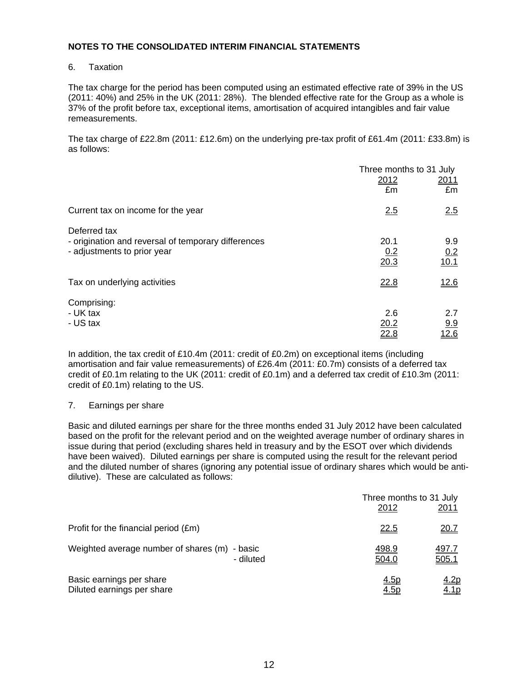#### 6. Taxation

The tax charge for the period has been computed using an estimated effective rate of 39% in the US (2011: 40%) and 25% in the UK (2011: 28%). The blended effective rate for the Group as a whole is 37% of the profit before tax, exceptional items, amortisation of acquired intangibles and fair value remeasurements.

The tax charge of £22.8m (2011: £12.6m) on the underlying pre-tax profit of £61.4m (2011: £33.8m) is as follows:

|                                                     |              | Three months to 31 July |
|-----------------------------------------------------|--------------|-------------------------|
|                                                     | 2012         | 2011                    |
|                                                     | £m           | £m                      |
| Current tax on income for the year                  | 2.5          | 2.5                     |
| Deferred tax                                        |              |                         |
| - origination and reversal of temporary differences | 20.1         | 9.9                     |
| - adjustments to prior year                         | 0.2          | 0.2                     |
|                                                     | 20.3         | 10.1                    |
| Tax on underlying activities                        | 22.8         | 12.6                    |
| Comprising:                                         |              |                         |
| - UK tax                                            | 2.6          | 2.7                     |
| - US tax                                            |              |                         |
|                                                     | 20.2<br>22.8 | 9.9<br>12.6             |
|                                                     |              |                         |

In addition, the tax credit of £10.4m (2011: credit of £0.2m) on exceptional items (including amortisation and fair value remeasurements) of £26.4m (2011: £0.7m) consists of a deferred tax credit of £0.1m relating to the UK (2011: credit of £0.1m) and a deferred tax credit of £10.3m (2011: credit of £0.1m) relating to the US.

# 7. Earnings per share

Basic and diluted earnings per share for the three months ended 31 July 2012 have been calculated based on the profit for the relevant period and on the weighted average number of ordinary shares in issue during that period (excluding shares held in treasury and by the ESOT over which dividends have been waived). Diluted earnings per share is computed using the result for the relevant period and the diluted number of shares (ignoring any potential issue of ordinary shares which would be antidilutive). These are calculated as follows:

|                                               | 2012        | Three months to 31 July<br>2011 |
|-----------------------------------------------|-------------|---------------------------------|
| Profit for the financial period (£m)          | <u>22.5</u> | 20.7                            |
| Weighted average number of shares (m) - basic | 498.9       | <u>497.7</u>                    |
| - diluted                                     | 504.0       | 505.1                           |
| Basic earnings per share                      | <u>4.5p</u> | <u>4.2p</u>                     |
| Diluted earnings per share                    | 4.5p        | 4.1p                            |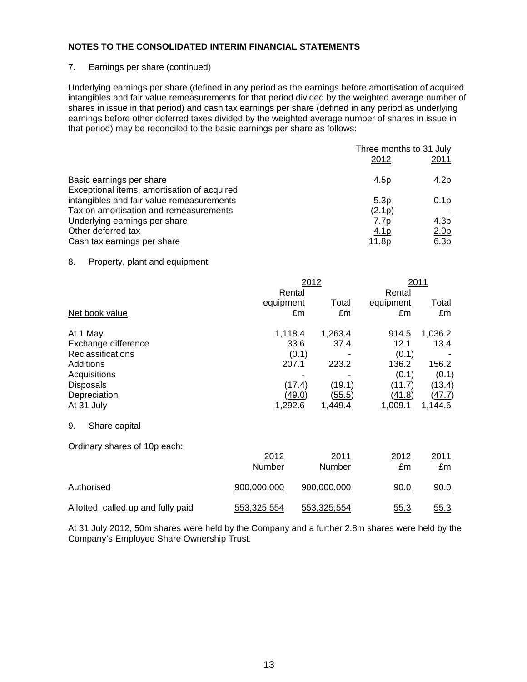#### 7. Earnings per share (continued)

Underlying earnings per share (defined in any period as the earnings before amortisation of acquired intangibles and fair value remeasurements for that period divided by the weighted average number of shares in issue in that period) and cash tax earnings per share (defined in any period as underlying earnings before other deferred taxes divided by the weighted average number of shares in issue in that period) may be reconciled to the basic earnings per share as follows:

|                                             | Three months to 31 July |                   |  |
|---------------------------------------------|-------------------------|-------------------|--|
|                                             | 2012                    | 2011              |  |
| Basic earnings per share                    | 4.5p                    | 4.2p              |  |
| Exceptional items, amortisation of acquired |                         |                   |  |
| intangibles and fair value remeasurements   | 5.3p                    | 0.1 <sub>p</sub>  |  |
| Tax on amortisation and remeasurements      | (2.1p)                  |                   |  |
| Underlying earnings per share               | 7.7p                    | $4.\overline{3p}$ |  |
| Other deferred tax                          | <u>4.1p</u>             | 2.0 <sub>p</sub>  |  |
| Cash tax earnings per share                 | <u>11.8p</u>            | 6.3p              |  |

#### 8. Property, plant and equipment

|                                                                                                                                                   | 2012<br>Rental              |                                                                                                            | Rental                                                                         | 2011                                                                    |
|---------------------------------------------------------------------------------------------------------------------------------------------------|-----------------------------|------------------------------------------------------------------------------------------------------------|--------------------------------------------------------------------------------|-------------------------------------------------------------------------|
| Net book value                                                                                                                                    | equipment                   | <u>Total</u><br>£m<br>£m                                                                                   | equipment<br>£m                                                                | <u>Total</u><br>£m                                                      |
| At 1 May<br>Exchange difference<br><b>Reclassifications</b><br><b>Additions</b><br>Acquisitions<br><b>Disposals</b><br>Depreciation<br>At 31 July | 1,118.4<br>207.1<br>1,292.6 | 1,263.4<br>37.4<br>33.6<br>(0.1)<br>223.2<br>(17.4)<br>(19.1)<br><u>(49.0)</u><br><u>(55.5)</u><br>1,449.4 | 914.5<br>12.1<br>(0.1)<br>136.2<br>(0.1)<br>(11.7)<br><u>(41.8)</u><br>1,009.1 | 1,036.2<br>13.4<br>156.2<br>(0.1)<br>(13.4)<br><u>(47.7)</u><br>1,144.6 |
| 9.<br>Share capital                                                                                                                               |                             |                                                                                                            |                                                                                |                                                                         |
| Ordinary shares of 10p each:                                                                                                                      | 2012<br>Number              | 2011<br>Number                                                                                             | 2012<br>£m                                                                     | 2011<br>£m                                                              |
| Authorised                                                                                                                                        | 900,000,000                 | 900,000,000                                                                                                | <u>90.0</u>                                                                    | 90.0                                                                    |
| Allotted, called up and fully paid                                                                                                                | 553,325,554                 | 553,325,554                                                                                                | 55.3                                                                           | 55.3                                                                    |

At 31 July 2012, 50m shares were held by the Company and a further 2.8m shares were held by the Company's Employee Share Ownership Trust.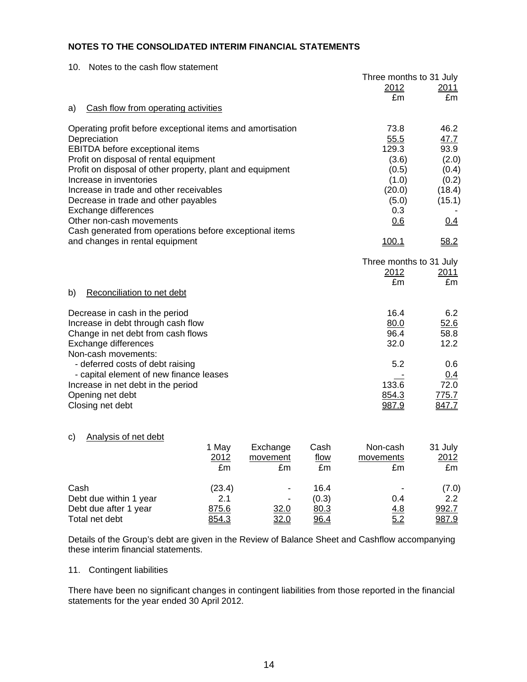| Notes to the cash flow statement<br>10.                    |                         |               |
|------------------------------------------------------------|-------------------------|---------------|
|                                                            | Three months to 31 July |               |
|                                                            | 2012                    | 2011          |
|                                                            | £m                      | £m            |
| Cash flow from operating activities<br>a)                  |                         |               |
| Operating profit before exceptional items and amortisation | 73.8                    | 46.2          |
| Depreciation                                               | 55.5                    | 47.7          |
| <b>EBITDA</b> before exceptional items                     | 129.3                   | 93.9          |
| Profit on disposal of rental equipment                     | (3.6)                   | (2.0)         |
| Profit on disposal of other property, plant and equipment  | (0.5)                   | (0.4)         |
| Increase in inventories                                    | (1.0)                   | (0.2)         |
| Increase in trade and other receivables                    | (20.0)                  | (18.4)        |
| Decrease in trade and other payables                       | (5.0)                   | (15.1)        |
| Exchange differences                                       | 0.3                     |               |
| Other non-cash movements                                   | 0.6                     | 0.4           |
| Cash generated from operations before exceptional items    |                         |               |
| and changes in rental equipment                            | 100.1                   | 58.2          |
|                                                            | Three months to 31 July |               |
|                                                            | 2012                    | <u> 2011 </u> |
|                                                            | £m                      | £m            |
| Reconciliation to net debt<br>b)                           |                         |               |
| Decrease in cash in the period                             | 16.4                    | 6.2           |
| Increase in debt through cash flow                         | 80.0                    | 52.6          |
| Change in net debt from cash flows                         | 96.4                    | 58.8          |
| Exchange differences                                       | 32.0                    | 12.2          |
| Non-cash movements:                                        |                         |               |
| - deferred costs of debt raising                           | 5.2                     | 0.6           |
| - capital element of new finance leases                    |                         | 0.4           |
| Increase in net debt in the period                         | 133.6                   | 72.0          |
| Opening net debt                                           | 854.3                   | 775.7         |
| Closing net debt                                           | 987.9                   | <u>847.7</u>  |

#### c) Analysis of net debt

|                        | 1 May  | Exchange | Cash        | Non-cash                 | 31 July |
|------------------------|--------|----------|-------------|--------------------------|---------|
|                        | 2012   | movement | <u>flow</u> | movements                | 2012    |
|                        | £m     | £m       | £m          | £m                       | £m      |
| Cash                   | (23.4) | ۰        | 16.4        | $\overline{\phantom{0}}$ | (7.0)   |
| Debt due within 1 year | 2.1    |          | (0.3)       | 0.4                      | 2.2     |
| Debt due after 1 year  | 875.6  | 32.0     | 80.3        | 4.8                      | 992.7   |
| Total net debt         | 854.3  | 32.0     | 96.4        | 5.2                      | 987.9   |

Details of the Group's debt are given in the Review of Balance Sheet and Cashflow accompanying these interim financial statements.

#### 11. Contingent liabilities

There have been no significant changes in contingent liabilities from those reported in the financial statements for the year ended 30 April 2012.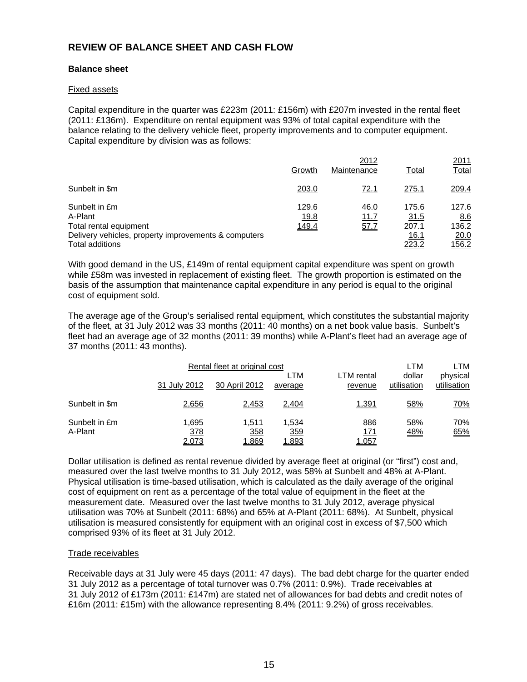# **REVIEW OF BALANCE SHEET AND CASH FLOW**

# **Balance sheet**

#### Fixed assets

Capital expenditure in the quarter was £223m (2011: £156m) with £207m invested in the rental fleet (2011: £136m). Expenditure on rental equipment was 93% of total capital expenditure with the balance relating to the delivery vehicle fleet, property improvements and to computer equipment. Capital expenditure by division was as follows:

|                                                                                                            | Growth                        | 2012<br>Maintenance  | Total                          | 2011<br><u>Total</u>          |
|------------------------------------------------------------------------------------------------------------|-------------------------------|----------------------|--------------------------------|-------------------------------|
| Sunbelt in \$m                                                                                             | 203.0                         | 72.1                 | <u>275.1</u>                   | 209.4                         |
| Sunbelt in £m<br>A-Plant<br>Total rental equipment<br>Delivery vehicles, property improvements & computers | 129.6<br><u>19.8</u><br>149.4 | 46.0<br>11.7<br>57.7 | 175.6<br>31.5<br>207.1<br>16.1 | 127.6<br>8.6<br>136.2<br>20.0 |
| Total additions                                                                                            |                               |                      | 223.2                          | <u>156.2</u>                  |

With good demand in the US, £149m of rental equipment capital expenditure was spent on growth while £58m was invested in replacement of existing fleet. The growth proportion is estimated on the basis of the assumption that maintenance capital expenditure in any period is equal to the original cost of equipment sold.

The average age of the Group's serialised rental equipment, which constitutes the substantial majority of the fleet, at 31 July 2012 was 33 months (2011: 40 months) on a net book value basis. Sunbelt's fleet had an average age of 32 months (2011: 39 months) while A-Plant's fleet had an average age of 37 months (2011: 43 months).

|                          |                       | Rental fleet at original cost |                       |                             | LTM                   | LTM                     |
|--------------------------|-----------------------|-------------------------------|-----------------------|-----------------------------|-----------------------|-------------------------|
|                          | 31 July 2012          | 30 April 2012                 | LTM<br>average        | LTM rental<br>revenue       | dollar<br>utilisation | physical<br>utilisation |
| Sunbelt in \$m           | 2,656                 | 2,453                         | 2,404                 | 1,391                       | 58%                   | <u>70%</u>              |
| Sunbelt in £m<br>A-Plant | 1.695<br>378<br>2,073 | 1.511<br>358<br>1,869         | 1.534<br>359<br>1,893 | 886<br><u> 171</u><br>1,057 | 58%<br>48%            | 70%<br>65%              |

Dollar utilisation is defined as rental revenue divided by average fleet at original (or "first") cost and, measured over the last twelve months to 31 July 2012, was 58% at Sunbelt and 48% at A-Plant. Physical utilisation is time-based utilisation, which is calculated as the daily average of the original cost of equipment on rent as a percentage of the total value of equipment in the fleet at the measurement date. Measured over the last twelve months to 31 July 2012, average physical utilisation was 70% at Sunbelt (2011: 68%) and 65% at A-Plant (2011: 68%). At Sunbelt, physical utilisation is measured consistently for equipment with an original cost in excess of \$7,500 which comprised 93% of its fleet at 31 July 2012.

#### Trade receivables

Receivable days at 31 July were 45 days (2011: 47 days). The bad debt charge for the quarter ended 31 July 2012 as a percentage of total turnover was 0.7% (2011: 0.9%). Trade receivables at 31 July 2012 of £173m (2011: £147m) are stated net of allowances for bad debts and credit notes of £16m (2011: £15m) with the allowance representing 8.4% (2011: 9.2%) of gross receivables.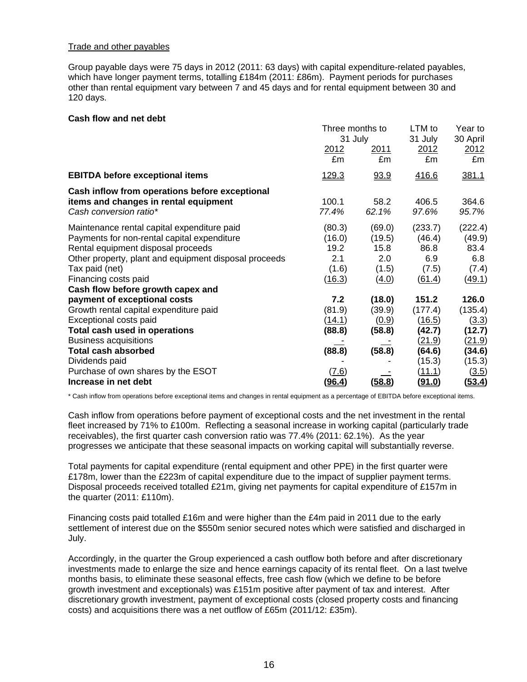#### Trade and other payables

Group payable days were 75 days in 2012 (2011: 63 days) with capital expenditure-related payables, which have longer payment terms, totalling £184m (2011: £86m). Payment periods for purchases other than rental equipment vary between 7 and 45 days and for rental equipment between 30 and 120 days.

#### **Cash flow and net debt**

|                                                                                                                   | Three months to |                | LTM to           | Year to                 |
|-------------------------------------------------------------------------------------------------------------------|-----------------|----------------|------------------|-------------------------|
|                                                                                                                   | 31 July         |                | 31 July          | 30 April                |
|                                                                                                                   | 2012            | <u>2011</u>    | 2012             | 2012                    |
|                                                                                                                   | £m              | £m             | £m               | £m                      |
| <b>EBITDA before exceptional items</b>                                                                            | <u> 129.3</u>   | 93.9           | <u>416.6</u>     | 381.1                   |
| Cash inflow from operations before exceptional<br>items and changes in rental equipment<br>Cash conversion ratio* | 100.1<br>77.4%  | 58.2<br>62.1%  | 406.5<br>97.6%   | 364.6<br>95.7%          |
| Maintenance rental capital expenditure paid                                                                       | (80.3)          | (69.0)         | (233.7)          | (222.4)                 |
| Payments for non-rental capital expenditure                                                                       | (16.0)          | (19.5)         | (46.4)           | (49.9)                  |
| Rental equipment disposal proceeds                                                                                | 19.2            | 15.8           | 86.8             | 83.4                    |
| Other property, plant and equipment disposal proceeds                                                             | 2.1             | 2.0            | 6.9              | 6.8                     |
| Tax paid (net)<br>Financing costs paid<br>Cash flow before growth capex and                                       | (1.6)<br>(16.3) | (1.5)<br>(4.0) | (7.5)<br>(61.4)  | (7.4)<br>(49.1)         |
| payment of exceptional costs                                                                                      | 7.2             | (18.0)         | 151.2            | 126.0                   |
| Growth rental capital expenditure paid                                                                            | (81.9)          | (39.9)         | (177.4)          | (135.4)                 |
| Exceptional costs paid                                                                                            | <u>(14.1)</u>   | (0.9)          | <u>(16.5)</u>    | <u>(3.3)</u>            |
| Total cash used in operations<br><b>Business acquisitions</b>                                                     | (88.8)          | (58.8)         | (42.7)<br>(21.9) | (12.7)<br><u>(21.9)</u> |
| <b>Total cash absorbed</b><br>Dividends paid                                                                      | (88.8)          | (58.8)         | (64.6)<br>(15.3) | (34.6)<br>(15.3)        |
| Purchase of own shares by the ESOT                                                                                | (7.6)           | (58.8)         | <u>(11.1)</u>    | (3.5)                   |
| Increase in net debt                                                                                              | (96.4)          |                | <u>(91.0)</u>    | <u>(53.4)</u>           |

\* Cash inflow from operations before exceptional items and changes in rental equipment as a percentage of EBITDA before exceptional items.

Cash inflow from operations before payment of exceptional costs and the net investment in the rental fleet increased by 71% to £100m. Reflecting a seasonal increase in working capital (particularly trade receivables), the first quarter cash conversion ratio was 77.4% (2011: 62.1%). As the year progresses we anticipate that these seasonal impacts on working capital will substantially reverse.

Total payments for capital expenditure (rental equipment and other PPE) in the first quarter were £178m, lower than the £223m of capital expenditure due to the impact of supplier payment terms. Disposal proceeds received totalled £21m, giving net payments for capital expenditure of £157m in the quarter (2011: £110m).

Financing costs paid totalled £16m and were higher than the £4m paid in 2011 due to the early settlement of interest due on the \$550m senior secured notes which were satisfied and discharged in July.

Accordingly, in the quarter the Group experienced a cash outflow both before and after discretionary investments made to enlarge the size and hence earnings capacity of its rental fleet. On a last twelve months basis, to eliminate these seasonal effects, free cash flow (which we define to be before growth investment and exceptionals) was £151m positive after payment of tax and interest. After discretionary growth investment, payment of exceptional costs (closed property costs and financing costs) and acquisitions there was a net outflow of £65m (2011/12: £35m).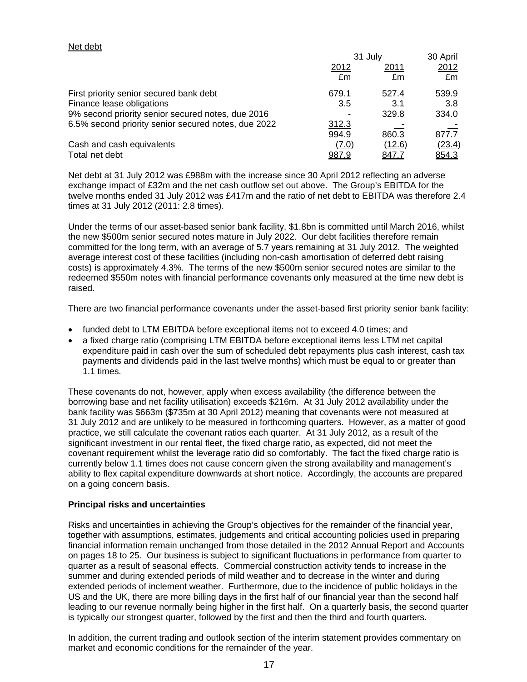# Net debt

|                                                     | 31 July      |        | 30 April |  |
|-----------------------------------------------------|--------------|--------|----------|--|
|                                                     | 2012         | 2011   | 2012     |  |
|                                                     | £m           | £m     | £m       |  |
| First priority senior secured bank debt             | 679.1        | 527.4  | 539.9    |  |
| Finance lease obligations                           | 3.5          | 3.1    | 3.8      |  |
| 9% second priority senior secured notes, due 2016   |              | 329.8  | 334.0    |  |
| 6.5% second priority senior secured notes, due 2022 | 312.3        |        |          |  |
|                                                     | 994.9        | 860.3  | 877.7    |  |
| Cash and cash equivalents                           | (7.0)        | (12.6) | (23.4)   |  |
| Total net debt                                      | <u>987.9</u> | 847.7  | 854.3    |  |

Net debt at 31 July 2012 was £988m with the increase since 30 April 2012 reflecting an adverse exchange impact of £32m and the net cash outflow set out above. The Group's EBITDA for the twelve months ended 31 July 2012 was £417m and the ratio of net debt to EBITDA was therefore 2.4 times at 31 July 2012 (2011: 2.8 times).

Under the terms of our asset-based senior bank facility, \$1.8bn is committed until March 2016, whilst the new \$500m senior secured notes mature in July 2022. Our debt facilities therefore remain committed for the long term, with an average of 5.7 years remaining at 31 July 2012. The weighted average interest cost of these facilities (including non-cash amortisation of deferred debt raising costs) is approximately 4.3%. The terms of the new \$500m senior secured notes are similar to the redeemed \$550m notes with financial performance covenants only measured at the time new debt is raised.

There are two financial performance covenants under the asset-based first priority senior bank facility:

- funded debt to LTM EBITDA before exceptional items not to exceed 4.0 times; and
- a fixed charge ratio (comprising LTM EBITDA before exceptional items less LTM net capital expenditure paid in cash over the sum of scheduled debt repayments plus cash interest, cash tax payments and dividends paid in the last twelve months) which must be equal to or greater than 1.1 times.

These covenants do not, however, apply when excess availability (the difference between the borrowing base and net facility utilisation) exceeds \$216m. At 31 July 2012 availability under the bank facility was \$663m (\$735m at 30 April 2012) meaning that covenants were not measured at 31 July 2012 and are unlikely to be measured in forthcoming quarters. However, as a matter of good practice, we still calculate the covenant ratios each quarter. At 31 July 2012, as a result of the significant investment in our rental fleet, the fixed charge ratio, as expected, did not meet the covenant requirement whilst the leverage ratio did so comfortably. The fact the fixed charge ratio is currently below 1.1 times does not cause concern given the strong availability and management's ability to flex capital expenditure downwards at short notice. Accordingly, the accounts are prepared on a going concern basis.

# **Principal risks and uncertainties**

Risks and uncertainties in achieving the Group's objectives for the remainder of the financial year, together with assumptions, estimates, judgements and critical accounting policies used in preparing financial information remain unchanged from those detailed in the 2012 Annual Report and Accounts on pages 18 to 25. Our business is subject to significant fluctuations in performance from quarter to quarter as a result of seasonal effects. Commercial construction activity tends to increase in the summer and during extended periods of mild weather and to decrease in the winter and during extended periods of inclement weather. Furthermore, due to the incidence of public holidays in the US and the UK, there are more billing days in the first half of our financial year than the second half leading to our revenue normally being higher in the first half. On a quarterly basis, the second quarter is typically our strongest quarter, followed by the first and then the third and fourth quarters.

In addition, the current trading and outlook section of the interim statement provides commentary on market and economic conditions for the remainder of the year.